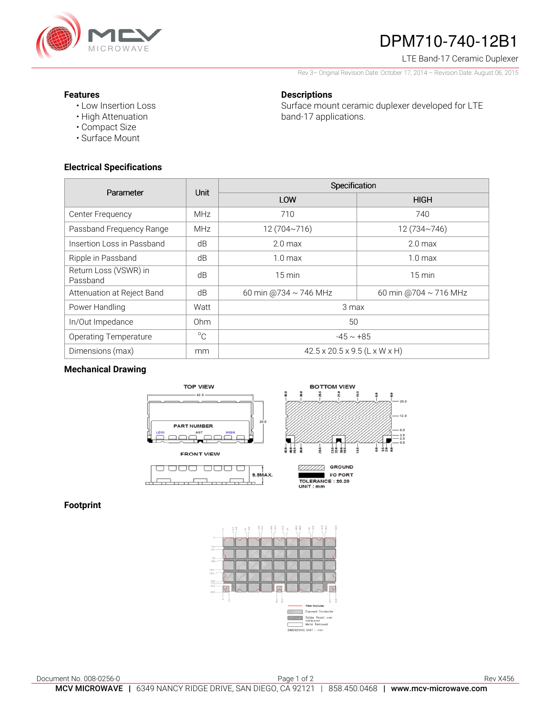

# DPM710-740-12B1

LTE Band-17 Ceramic Duplexer

Rev 3– Original Revision Date: October 17, 2014 – Revision Date: August 06, 2015

Surface mount ceramic duplexer developed for LTE

 $\tilde{a}$ 

 $13.0$ 

 $\frac{3.5}{2.0}$ 

#### **Features**

- Low Insertion Loss
- High Attenuation
- Compact Size
- Surface Mount

## **Electrical Specifications**

| Parameter                         | <b>Unit</b> | Specification                             |                            |
|-----------------------------------|-------------|-------------------------------------------|----------------------------|
|                                   |             | LOW                                       | <b>HIGH</b>                |
| Center Frequency                  | <b>MHz</b>  | 710                                       | 740                        |
| Passband Frequency Range          | <b>MHz</b>  | 12 (704~716)                              | 12 (734~746)               |
| Insertion Loss in Passband        | dB          | 2.0 <sub>max</sub>                        | 2.0 <sub>max</sub>         |
| Ripple in Passband                | dB          | $1.0 \text{ max}$                         | 1.0 <sub>max</sub>         |
| Return Loss (VSWR) in<br>Passband | dB          | $15 \text{ min}$                          | $15 \text{ min}$           |
| Attenuation at Reject Band        | dB          | 60 min @734 ~ 746 MHz                     | 60 min @704 $\sim$ 716 MHz |
| Power Handling                    | Watt        | 3 max                                     |                            |
| In/Out Impedance                  | Ohm         | 50                                        |                            |
| <b>Operating Temperature</b>      | $^{\circ}C$ | $-45 \sim +85$                            |                            |
| Dimensions (max)                  | mm          | $42.5 \times 20.5 \times 9.5$ (L x W x H) |                            |

**Descriptions** 

band-17 applications.

### **Mechanical Drawing**



# **Footprint**